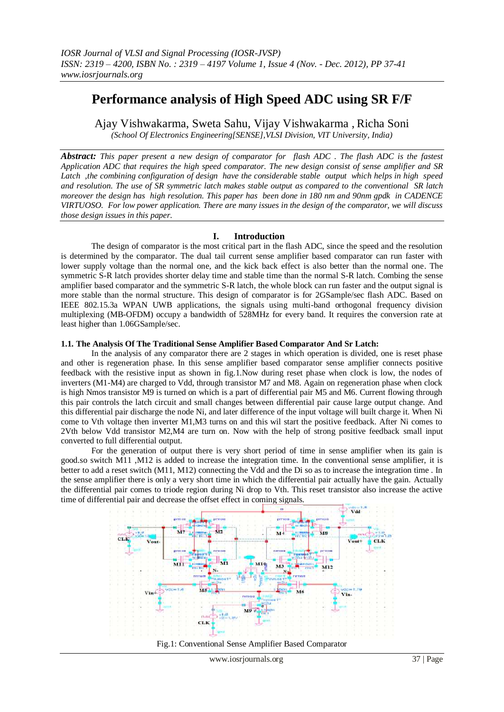# **Performance analysis of High Speed ADC using SR F/F**

Ajay Vishwakarma, Sweta Sahu, Vijay Vishwakarma , Richa Soni *(School Of Electronics Engineering[SENSE],VLSI Division, VIT University, India)*

*Abstract: This paper present a new design of comparator for flash ADC . The flash ADC is the fastest Application ADC that requires the high speed comparator. The new design consist of sense amplifier and SR Latch ,the combining configuration of design have the considerable stable output which helps in high speed and resolution. The use of SR symmetric latch makes stable output as compared to the conventional SR latch moreover the design has high resolution. This paper has been done in 180 nm and 90nm gpdk in CADENCE VIRTUOSO. For low power application. There are many issues in the design of the comparator, we will discuss those design issues in this paper.*

# **I. Introduction**

The design of comparator is the most critical part in the flash ADC, since the speed and the resolution is determined by the comparator. The dual tail current sense amplifier based comparator can run faster with lower supply voltage than the normal one, and the kick back effect is also better than the normal one. The symmetric S-R latch provides shorter delay time and stable time than the normal S-R latch. Combing the sense amplifier based comparator and the symmetric S-R latch, the whole block can run faster and the output signal is more stable than the normal structure. This design of comparator is for 2GSample/sec flash ADC. Based on IEEE 802.15.3a WPAN UWB applications, the signals using multi-band orthogonal frequency division multiplexing (MB-OFDM) occupy a bandwidth of 528MHz for every band. It requires the conversion rate at least higher than 1.06GSample/sec.

# **1.1. The Analysis Of The Traditional Sense Amplifier Based Comparator And Sr Latch:**

In the analysis of any comparator there are 2 stages in which operation is divided, one is reset phase and other is regeneration phase. In this sense amplifier based comparator sense amplifier connects positive feedback with the resistive input as shown in fig.1.Now during reset phase when clock is low, the nodes of inverters (M1-M4) are charged to Vdd, through transistor M7 and M8. Again on regeneration phase when clock is high Nmos transistor M9 is turned on which is a part of differential pair M5 and M6. Current flowing through this pair controls the latch circuit and small changes between differential pair cause large output change. And this differential pair discharge the node Ni, and later difference of the input voltage will built charge it. When Ni come to Vth voltage then inverter M1,M3 turns on and this wil start the positive feedback. After Ni comes to 2Vth below Vdd transistor M2,M4 are turn on. Now with the help of strong positive feedback small input converted to full differential output.

For the generation of output there is very short period of time in sense amplifier when its gain is good.so switch M11 ,M12 is added to increase the integration time. In the conventional sense amplifier, it is better to add a reset switch (M11, M12) connecting the Vdd and the Di so as to increase the integration time . In the sense amplifier there is only a very short time in which the differential pair actually have the gain. Actually the differential pair comes to triode region during Ni drop to Vth. This reset transistor also increase the active time of differential pair and decrease the offset effect in coming signals.



Fig.1: Conventional Sense Amplifier Based Comparator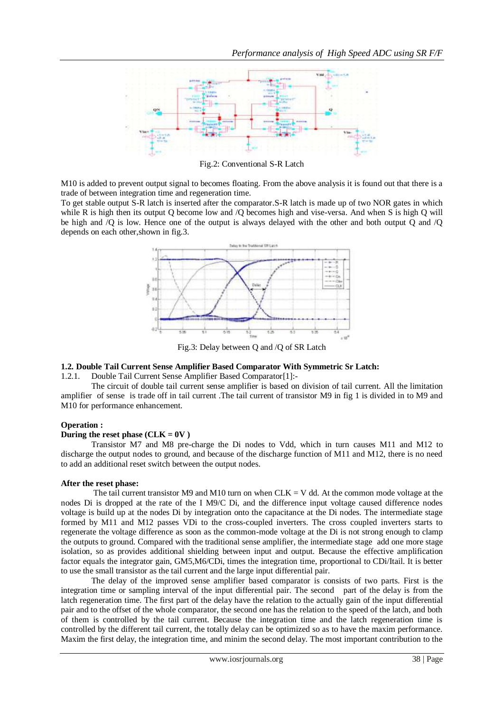

Fig.2: Conventional S-R Latch

M10 is added to prevent output signal to becomes floating. From the above analysis it is found out that there is a trade of between integration time and regeneration time.

To get stable output S-R latch is inserted after the comparator.S-R latch is made up of two NOR gates in which while R is high then its output Q become low and /Q becomes high and vise-versa. And when S is high Q will be high and /Q is low. Hence one of the output is always delayed with the other and both output Q and /Q depends on each other,shown in fig.3.



Fig.3: Delay between Q and /Q of SR Latch

#### **1.2. Double Tail Current Sense Amplifier Based Comparator With Symmetric Sr Latch:**

1.2.1. Double Tail Current Sense Amplifier Based Comparator[1]:-

The circuit of double tail current sense amplifier is based on division of tail current. All the limitation amplifier of sense is trade off in tail current .The tail current of transistor M9 in fig 1 is divided in to M9 and M10 for performance enhancement.

#### **Operation :**

### **During the reset phase (CLK =**  $0V$ **)**

Transistor M7 and M8 pre-charge the Di nodes to Vdd, which in turn causes M11 and M12 to discharge the output nodes to ground, and because of the discharge function of M11 and M12, there is no need to add an additional reset switch between the output nodes.

#### **After the reset phase:**

The tail current transistor M9 and M10 turn on when  $CLK = V$  dd. At the common mode voltage at the nodes Di is dropped at the rate of the I M9/C Di, and the difference input voltage caused difference nodes voltage is build up at the nodes Di by integration onto the capacitance at the Di nodes. The intermediate stage formed by M11 and M12 passes VDi to the cross-coupled inverters. The cross coupled inverters starts to regenerate the voltage difference as soon as the common-mode voltage at the Di is not strong enough to clamp the outputs to ground. Compared with the traditional sense amplifier, the intermediate stage add one more stage isolation, so as provides additional shielding between input and output. Because the effective amplification factor equals the integrator gain, GM5,M6/CDi, times the integration time, proportional to CDi/Itail. It is better to use the small transistor as the tail current and the large input differential pair.

The delay of the improved sense amplifier based comparator is consists of two parts. First is the integration time or sampling interval of the input differential pair. The second part of the delay is from the latch regeneration time. The first part of the delay have the relation to the actually gain of the input differential pair and to the offset of the whole comparator, the second one has the relation to the speed of the latch, and both of them is controlled by the tail current. Because the integration time and the latch regeneration time is controlled by the different tail current, the totally delay can be optimized so as to have the maxim performance. Maxim the first delay, the integration time, and minim the second delay. The most important contribution to the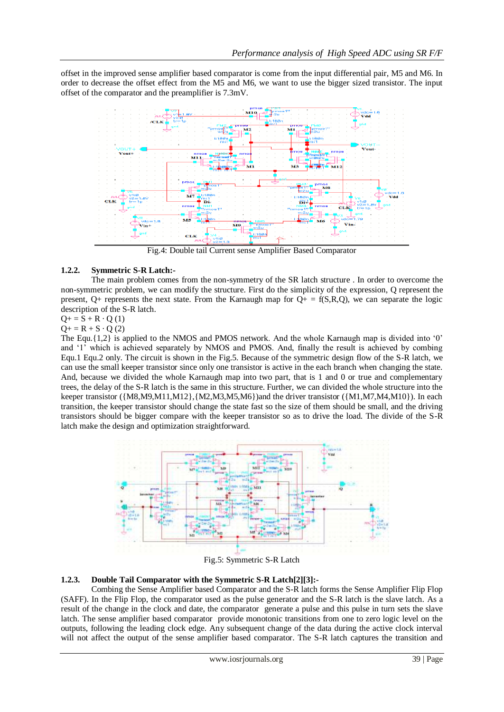offset in the improved sense amplifier based comparator is come from the input differential pair, M5 and M6. In order to decrease the offset effect from the M5 and M6, we want to use the bigger sized transistor. The input offset of the comparator and the preamplifier is 7.3mV.



Fig.4: Double tail Current sense Amplifier Based Comparator

#### **1.2.2. Symmetric S-R Latch:-**

The main problem comes from the non-symmetry of the SR latch structure . In order to overcome the non-symmetric problem, we can modify the structure. First do the simplicity of the expression, Q represent the present, Q+ represents the next state. From the Karnaugh map for  $Q_{+} = f(S,R,Q)$ , we can separate the logic description of the S-R latch.

# $Q+ = S + R \cdot Q(1)$

 $Q+$  = R + S · Q (2)

The Equ. $\{1,2\}$  is applied to the NMOS and PMOS network. And the whole Karnaugh map is divided into '0' and "1" which is achieved separately by NMOS and PMOS. And, finally the result is achieved by combing Equ.1 Equ.2 only. The circuit is shown in the Fig.5. Because of the symmetric design flow of the S-R latch, we can use the small keeper transistor since only one transistor is active in the each branch when changing the state. And, because we divided the whole Karnaugh map into two part, that is 1 and 0 or true and complementary trees, the delay of the S-R latch is the same in this structure. Further, we can divided the whole structure into the keeper transistor ({M8,M9,M11,M12},{M2,M3,M5,M6})and the driver transistor ({M1,M7,M4,M10}). In each transition, the keeper transistor should change the state fast so the size of them should be small, and the driving transistors should be bigger compare with the keeper transistor so as to drive the load. The divide of the S-R latch make the design and optimization straightforward.



Fig.5: Symmetric S-R Latch

# **1.2.3. Double Tail Comparator with the Symmetric S-R Latch[2][3]:-**

Combing the Sense Amplifier based Comparator and the S-R latch forms the Sense Amplifier Flip Flop (SAFF). In the Flip Flop, the comparator used as the pulse generator and the S-R latch is the slave latch. As a result of the change in the clock and date, the comparator generate a pulse and this pulse in turn sets the slave latch. The sense amplifier based comparator provide monotonic transitions from one to zero logic level on the outputs, following the leading clock edge. Any subsequent change of the data during the active clock interval will not affect the output of the sense amplifier based comparator. The S-R latch captures the transition and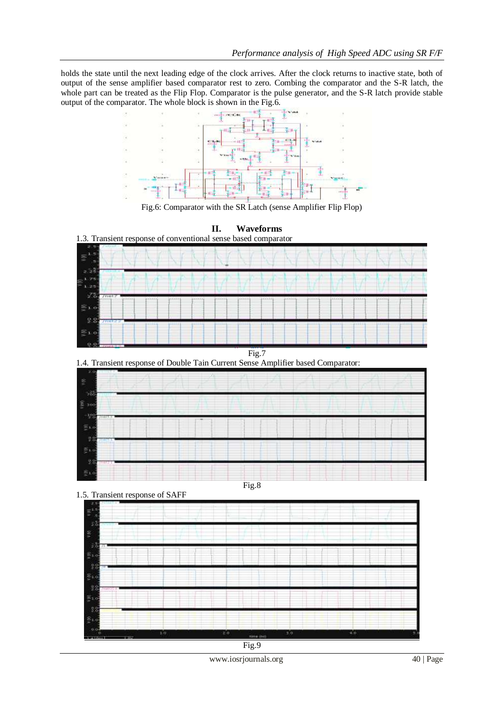holds the state until the next leading edge of the clock arrives. After the clock returns to inactive state, both of output of the sense amplifier based comparator rest to zero. Combing the comparator and the S-R latch, the whole part can be treated as the Flip Flop. Comparator is the pulse generator, and the S-R latch provide stable output of the comparator. The whole block is shown in the Fig.6.



Fig.6: Comparator with the SR Latch (sense Amplifier Flip Flop)



Fig.9